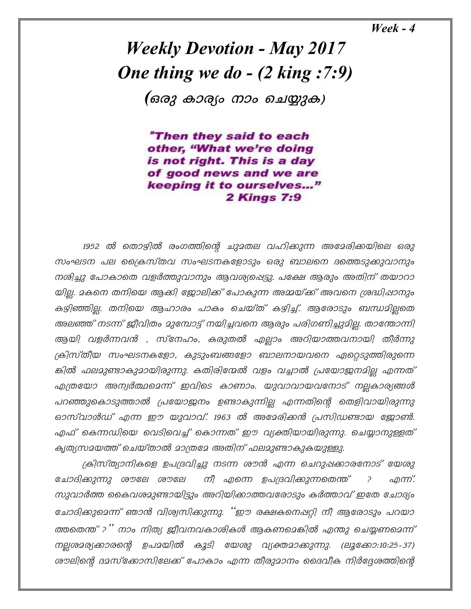$\textit{Weak} - 4$ 

**Weekly Devotion - May 2017** One thing we do  $-$  (2 king : 7:9)

(ഒരു കാര്യം നാം ചെയ്യുക)

"Then they said to each other, "What we're doing is not right. This is a day of good news and we are keeping it to ourselves..." **2 Kings 7:9** 

1952 ൽ തൊഴിൽ രംഗത്തിന്റെ ചുദതല വഹിക്കുന്ന അദേരിക്കയിലെ ഒരു സംഘടന പല ക്രൈസ്തവ സംഘടനകളോടും ഒരു ബാലനെ ദത്തെടുക്കുവാനും നശിച്ചു പോകാതെ വളർത്തുവാനും ആവശ്യപ്പെട്ടു. പക്ഷേ ആരും അതിന് തയാറാ യില്ല. മകനെ തനിയെ ആക്കി ജോലിക്ക് പോകുന്ന അമ്മയ്ക്ക് അവനെ ശ്രദ്ധിഷാനും കഴ്വിഞ്ഞില്ല. തനിയെ ആഹാരം പാകം ചെയ്ത് കഴിച്ച്. ആരോടും ബന്ധമില്ലതെ അലഞ്ഞ് നടന്ന് ജീവിതം മുമ്പോട്ട് നയിച്ചവനെ ആരും പരിഗണിച്ചുമില്ല. താന്തോന്നി ആയി വളർന്നവൻ , സ്നേഹം, കരുതൽ എല്ലാം അറിയാത്തവനായി തീർന്നു ക്രിസ്തീയ സംഘടനകളോ, കുടുംബങ്ങളോ ബാലനായവനെ ഏറ്റെടുത്തിരുന്നെ ങ്കിൽ ഫലമുണ്ടാകുമായിരുന്നു. കതിരിന്മേൽ വളം വച്ചാൽ പ്രയോജനമില്ല എന്നത് എത്രയോ അന്വർത്ഥമെന്ന് ഇവിടെ കാണാം. യുവാവായവനോട് നല്ലകാര്യങ്ങൾ പറഞ്ഞുകൊടുത്താൽ പ്രയോജനം ഉണ്ടാകുന്നില്ല എന്നതിന്റെ തെളിവായിരുന്നു ഓസ്വാൾഡ് എന്ന ഈ യുവാവ്. 1963 ൽ അമേരിക്കൻ പ്രസിഡണ്ടായ ജോൺ. എഫ് കെന്നഡിയെ വെടിവെച്ച് കൊന്നത് ഈ വ്യക്തിയായിരുന്നു. ചെയ്യാനുള്ളത് കൃത്യസമയത്ത് ചെയ്താൽ മാത്രമേ അതിന് ഫലമുണ്ടാകുകയുള്ളു.

ക്രിസ്ത്യാനികളെ ഉപദ്രവിച്ചു നടന്ന ശൗൻ എന്ന ചെറുപ്പക്കാരനോട് യേശു ചോദിക്കുന്നു ശൗലേ ശൗലേ നീ എന്നെ ഉപദ്രവിക്കുന്നതെന്ത്  $\overline{P}$ ഹന്. സുവാർത്ത കൈവശമുണ്ടായിട്ടും അറിയിക്കാത്തവരോടും കർത്താവ് ഇതേ ചോദ്യം ചോദിക്കുമെന്ന് ഞാൻ വിശ്വസിക്കുന്നു. ''ഈ രക്ഷകനെഷറ്റി നീ ആരോടും പറയാ ത്തതെന്ത് ?'' നാം നിത്യ ജീവനവകാശികൾ ആകണമെങ്കിൽ എന്തു ചെയ്യണമെന്ന് നല്ലശമര്യക്കാരന്റെ ഉപമയിൽ കൂടി യേശു വ്യക്തമാക്കുന്നു. (ലൂക്കോ:10:25-37) ശൗലിന്റെ ദമസ്ക്കോസിലേക്ക് പോകാം എന്ന തീരുമാനം ദൈവീക നിർദ്ദേശത്തിന്റെ